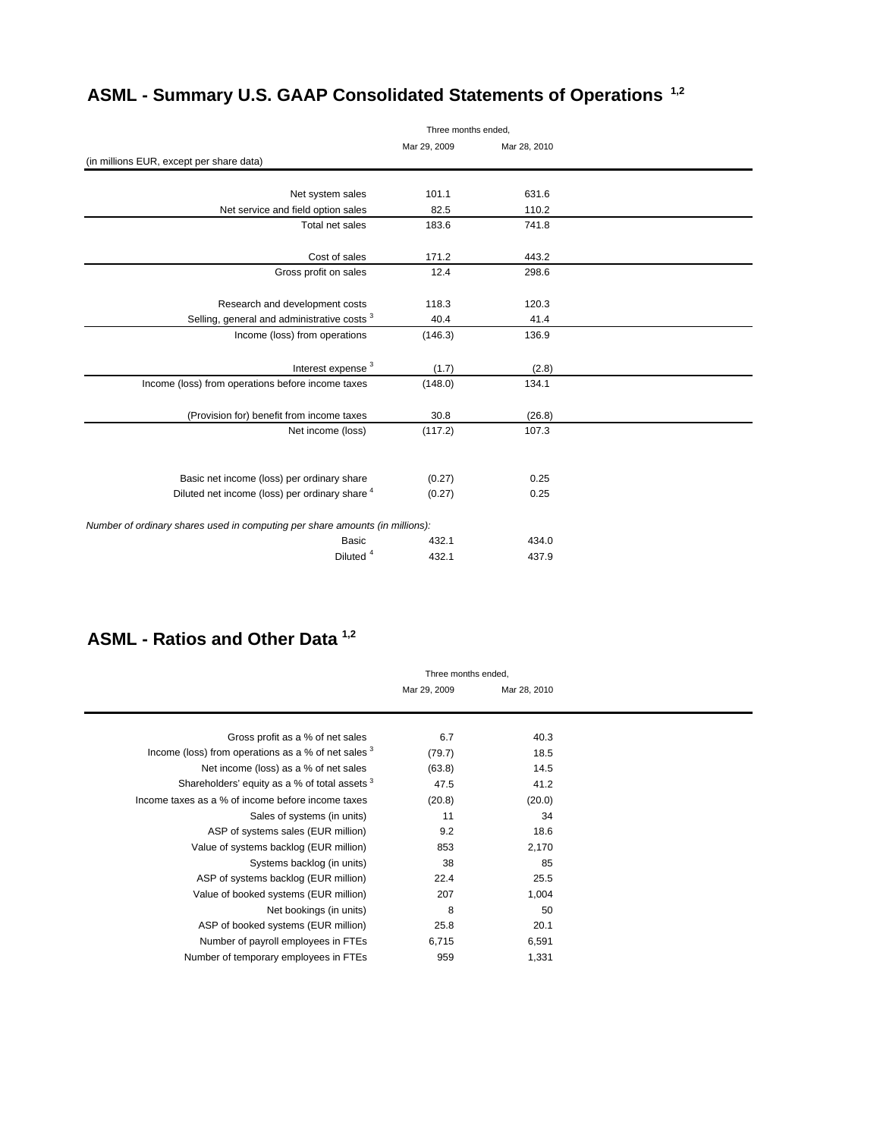|                                                                              | Three months ended, |              |  |  |
|------------------------------------------------------------------------------|---------------------|--------------|--|--|
|                                                                              | Mar 29, 2009        | Mar 28, 2010 |  |  |
| (in millions EUR, except per share data)                                     |                     |              |  |  |
|                                                                              |                     |              |  |  |
| Net system sales                                                             | 101.1               | 631.6        |  |  |
| Net service and field option sales                                           | 82.5                | 110.2        |  |  |
| Total net sales                                                              | 183.6               | 741.8        |  |  |
|                                                                              |                     |              |  |  |
| Cost of sales                                                                | 171.2               | 443.2        |  |  |
| Gross profit on sales                                                        | 12.4                | 298.6        |  |  |
|                                                                              |                     |              |  |  |
| Research and development costs                                               | 118.3               | 120.3        |  |  |
| Selling, general and administrative costs <sup>3</sup>                       | 40.4                | 41.4         |  |  |
| Income (loss) from operations                                                | (146.3)             | 136.9        |  |  |
|                                                                              |                     |              |  |  |
| Interest expense <sup>3</sup>                                                | (1.7)               | (2.8)        |  |  |
| Income (loss) from operations before income taxes                            | (148.0)             | 134.1        |  |  |
|                                                                              |                     |              |  |  |
| (Provision for) benefit from income taxes                                    | 30.8                | (26.8)       |  |  |
| Net income (loss)                                                            | (117.2)             | 107.3        |  |  |
|                                                                              |                     |              |  |  |
|                                                                              |                     |              |  |  |
| Basic net income (loss) per ordinary share                                   | (0.27)              | 0.25         |  |  |
| Diluted net income (loss) per ordinary share 4                               | (0.27)              | 0.25         |  |  |
|                                                                              |                     |              |  |  |
| Number of ordinary shares used in computing per share amounts (in millions): |                     |              |  |  |
| <b>Basic</b>                                                                 | 432.1               | 434.0        |  |  |
| Diluted <sup>4</sup>                                                         | 432.1               | 437.9        |  |  |
|                                                                              |                     |              |  |  |

## **ASML - Summary U.S. GAAP Consolidated Statements of Operations 1,2**

### **ASML - Ratios and Other Data 1,2**

|                                                     | Three months ended. |              |
|-----------------------------------------------------|---------------------|--------------|
|                                                     | Mar 29, 2009        | Mar 28, 2010 |
|                                                     |                     |              |
|                                                     |                     |              |
| Gross profit as a % of net sales                    | 6.7                 | 40.3         |
| Income (loss) from operations as a % of net sales 3 | (79.7)              | 18.5         |
| Net income (loss) as a % of net sales               | (63.8)              | 14.5         |
| Shareholders' equity as a % of total assets 3       | 47.5                | 41.2         |
| Income taxes as a % of income before income taxes   | (20.8)              | (20.0)       |
| Sales of systems (in units)                         | 11                  | 34           |
| ASP of systems sales (EUR million)                  | 9.2                 | 18.6         |
| Value of systems backlog (EUR million)              | 853                 | 2,170        |
| Systems backlog (in units)                          | 38                  | 85           |
| ASP of systems backlog (EUR million)                | 22.4                | 25.5         |
| Value of booked systems (EUR million)               | 207                 | 1,004        |
| Net bookings (in units)                             | 8                   | 50           |
| ASP of booked systems (EUR million)                 | 25.8                | 20.1         |
| Number of payroll employees in FTEs                 | 6,715               | 6,591        |
| Number of temporary employees in FTEs               | 959                 | 1,331        |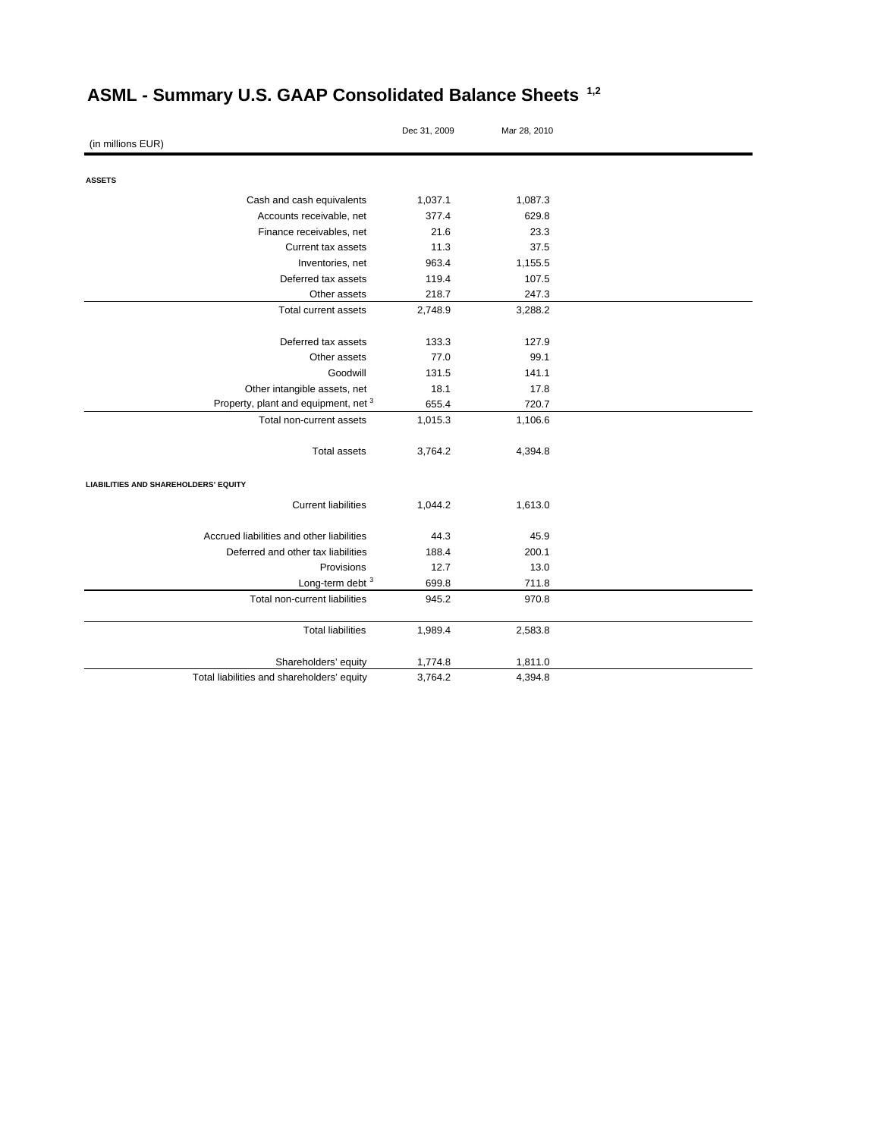|                                             | Dec 31, 2009 | Mar 28, 2010 |  |
|---------------------------------------------|--------------|--------------|--|
| (in millions EUR)                           |              |              |  |
|                                             |              |              |  |
| <b>ASSETS</b>                               |              |              |  |
| Cash and cash equivalents                   | 1,037.1      | 1,087.3      |  |
| Accounts receivable, net                    | 377.4        | 629.8        |  |
| Finance receivables, net                    | 21.6         | 23.3         |  |
| Current tax assets                          | 11.3         | 37.5         |  |
| Inventories, net                            | 963.4        | 1,155.5      |  |
| Deferred tax assets                         | 119.4        | 107.5        |  |
| Other assets                                | 218.7        | 247.3        |  |
| Total current assets                        | 2,748.9      | 3,288.2      |  |
| Deferred tax assets                         | 133.3        | 127.9        |  |
| Other assets                                | 77.0         | 99.1         |  |
| Goodwill                                    | 131.5        | 141.1        |  |
| Other intangible assets, net                | 18.1         | 17.8         |  |
| Property, plant and equipment, net 3        | 655.4        | 720.7        |  |
| Total non-current assets                    | 1,015.3      | 1,106.6      |  |
| <b>Total assets</b>                         | 3,764.2      | 4,394.8      |  |
| <b>LIABILITIES AND SHAREHOLDERS' EQUITY</b> |              |              |  |
| <b>Current liabilities</b>                  | 1,044.2      | 1,613.0      |  |
| Accrued liabilities and other liabilities   | 44.3         | 45.9         |  |
| Deferred and other tax liabilities          | 188.4        | 200.1        |  |
| Provisions                                  | 12.7         | 13.0         |  |
| Long-term debt 3                            | 699.8        | 711.8        |  |
| Total non-current liabilities               | 945.2        | 970.8        |  |
| <b>Total liabilities</b>                    | 1,989.4      | 2,583.8      |  |
| Shareholders' equity                        | 1,774.8      | 1,811.0      |  |
| Total liabilities and shareholders' equity  | 3,764.2      | 4,394.8      |  |

# **ASML - Summary U.S. GAAP Consolidated Balance Sheets 1,2**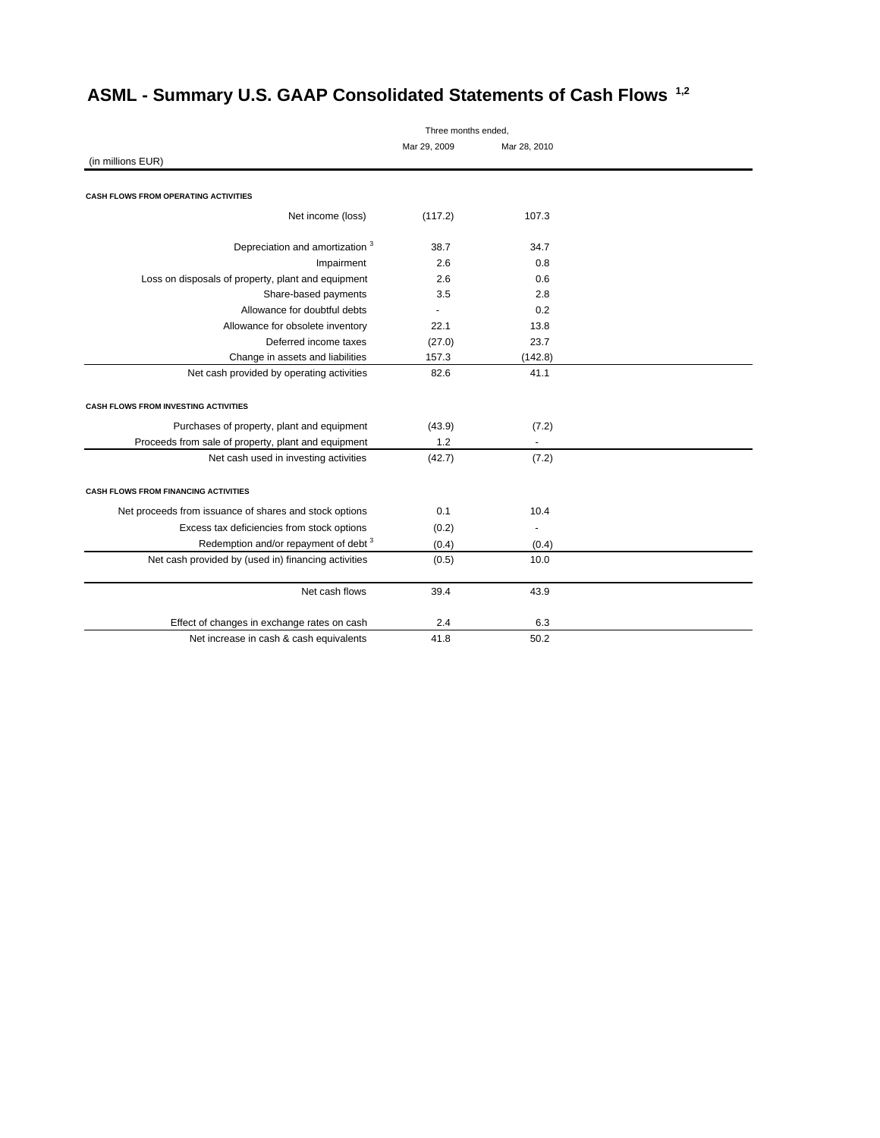| Three months ended,                                    |              |              |  |
|--------------------------------------------------------|--------------|--------------|--|
|                                                        | Mar 29, 2009 | Mar 28, 2010 |  |
| (in millions EUR)                                      |              |              |  |
|                                                        |              |              |  |
| CASH FLOWS FROM OPERATING ACTIVITIES                   |              |              |  |
| Net income (loss)                                      | (117.2)      | 107.3        |  |
| Depreciation and amortization 3                        | 38.7         | 34.7         |  |
| Impairment                                             | 2.6          | 0.8          |  |
| Loss on disposals of property, plant and equipment     | 2.6          | 0.6          |  |
| Share-based payments                                   | 3.5          | 2.8          |  |
| Allowance for doubtful debts                           | ٠            | 0.2          |  |
| Allowance for obsolete inventory                       | 22.1         | 13.8         |  |
| Deferred income taxes                                  | (27.0)       | 23.7         |  |
| Change in assets and liabilities                       | 157.3        | (142.8)      |  |
| Net cash provided by operating activities              | 82.6         | 41.1         |  |
| <b>CASH FLOWS FROM INVESTING ACTIVITIES</b>            |              |              |  |
|                                                        |              |              |  |
| Purchases of property, plant and equipment             | (43.9)       | (7.2)        |  |
| Proceeds from sale of property, plant and equipment    | 1.2          |              |  |
| Net cash used in investing activities                  | (42.7)       | (7.2)        |  |
| <b>CASH FLOWS FROM FINANCING ACTIVITIES</b>            |              |              |  |
| Net proceeds from issuance of shares and stock options | 0.1          | 10.4         |  |
| Excess tax deficiencies from stock options             | (0.2)        |              |  |
| Redemption and/or repayment of debt <sup>3</sup>       | (0.4)        | (0.4)        |  |
| Net cash provided by (used in) financing activities    | (0.5)        | 10.0         |  |
| Net cash flows                                         | 39.4         | 43.9         |  |
| Effect of changes in exchange rates on cash            | 2.4          | 6.3          |  |
| Net increase in cash & cash equivalents                | 41.8         | 50.2         |  |
|                                                        |              |              |  |

# **ASML - Summary U.S. GAAP Consolidated Statements of Cash Flows 1,2**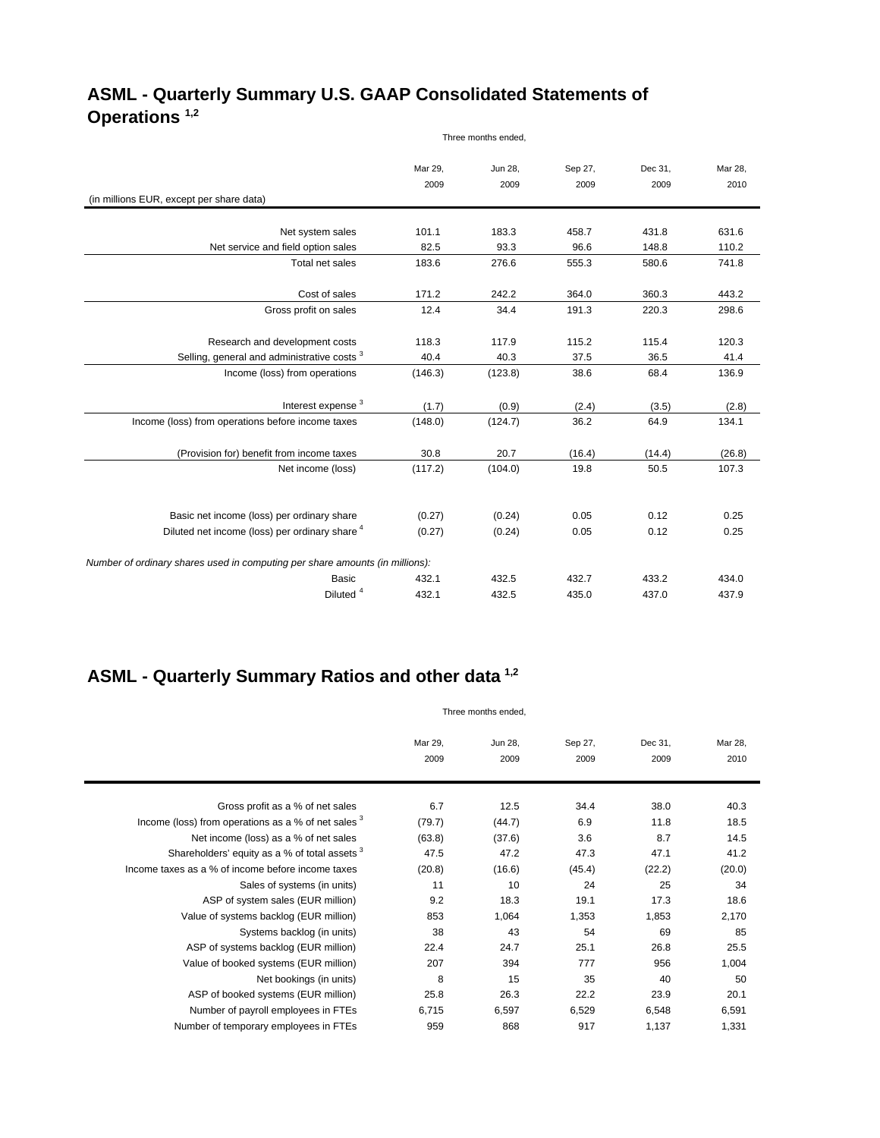### **ASML - Quarterly Summary U.S. GAAP Consolidated Statements of Operations 1,2** Three months ended,

|                                                                              | Mar 29, | Jun 28, | Sep 27, | Dec 31, | Mar 28. |
|------------------------------------------------------------------------------|---------|---------|---------|---------|---------|
|                                                                              | 2009    | 2009    | 2009    | 2009    | 2010    |
| (in millions EUR, except per share data)                                     |         |         |         |         |         |
|                                                                              |         |         |         |         |         |
| Net system sales                                                             | 101.1   | 183.3   | 458.7   | 431.8   | 631.6   |
| Net service and field option sales                                           | 82.5    | 93.3    | 96.6    | 148.8   | 110.2   |
| Total net sales                                                              | 183.6   | 276.6   | 555.3   | 580.6   | 741.8   |
| Cost of sales                                                                | 171.2   | 242.2   | 364.0   | 360.3   | 443.2   |
|                                                                              | 12.4    |         |         |         |         |
| Gross profit on sales                                                        |         | 34.4    | 191.3   | 220.3   | 298.6   |
| Research and development costs                                               | 118.3   | 117.9   | 115.2   | 115.4   | 120.3   |
| Selling, general and administrative costs <sup>3</sup>                       | 40.4    | 40.3    | 37.5    | 36.5    | 41.4    |
| Income (loss) from operations                                                | (146.3) | (123.8) | 38.6    | 68.4    | 136.9   |
|                                                                              |         |         |         |         |         |
| Interest expense <sup>3</sup>                                                | (1.7)   | (0.9)   | (2.4)   | (3.5)   | (2.8)   |
| Income (loss) from operations before income taxes                            | (148.0) | (124.7) | 36.2    | 64.9    | 134.1   |
| (Provision for) benefit from income taxes                                    | 30.8    | 20.7    | (16.4)  | (14.4)  | (26.8)  |
| Net income (loss)                                                            | (117.2) | (104.0) | 19.8    | 50.5    | 107.3   |
|                                                                              |         |         |         |         |         |
| Basic net income (loss) per ordinary share                                   | (0.27)  | (0.24)  | 0.05    | 0.12    | 0.25    |
| Diluted net income (loss) per ordinary share 4                               | (0.27)  | (0.24)  | 0.05    | 0.12    | 0.25    |
|                                                                              |         |         |         |         |         |
| Number of ordinary shares used in computing per share amounts (in millions): |         |         |         |         |         |
| Basic                                                                        | 432.1   | 432.5   | 432.7   | 433.2   | 434.0   |
| Diluted <sup>4</sup>                                                         | 432.1   | 432.5   | 435.0   | 437.0   | 437.9   |

## **ASML - Quarterly Summary Ratios and other data 1,2**

|                                                     | Three months ended. |                 |                 |                 |                 |
|-----------------------------------------------------|---------------------|-----------------|-----------------|-----------------|-----------------|
|                                                     | Mar 29,<br>2009     | Jun 28,<br>2009 | Sep 27,<br>2009 | Dec 31,<br>2009 | Mar 28,<br>2010 |
| Gross profit as a % of net sales                    | 6.7                 | 12.5            | 34.4            | 38.0            | 40.3            |
| Income (loss) from operations as a % of net sales 3 | (79.7)              | (44.7)          | 6.9             | 11.8            | 18.5            |
| Net income (loss) as a % of net sales               | (63.8)              | (37.6)          | 3.6             | 8.7             | 14.5            |
| Shareholders' equity as a % of total assets 3       | 47.5                | 47.2            | 47.3            | 47.1            | 41.2            |
| Income taxes as a % of income before income taxes   | (20.8)              | (16.6)          | (45.4)          | (22.2)          | (20.0)          |
| Sales of systems (in units)                         | 11                  | 10              | 24              | 25              | 34              |
| ASP of system sales (EUR million)                   | 9.2                 | 18.3            | 19.1            | 17.3            | 18.6            |
| Value of systems backlog (EUR million)              | 853                 | 1,064           | 1,353           | 1,853           | 2,170           |
| Systems backlog (in units)                          | 38                  | 43              | 54              | 69              | 85              |
| ASP of systems backlog (EUR million)                | 22.4                | 24.7            | 25.1            | 26.8            | 25.5            |
| Value of booked systems (EUR million)               | 207                 | 394             | 777             | 956             | 1,004           |
| Net bookings (in units)                             | 8                   | 15              | 35              | 40              | 50              |
| ASP of booked systems (EUR million)                 | 25.8                | 26.3            | 22.2            | 23.9            | 20.1            |
| Number of payroll employees in FTEs                 | 6,715               | 6,597           | 6,529           | 6,548           | 6,591           |
| Number of temporary employees in FTEs               | 959                 | 868             | 917             | 1,137           | 1,331           |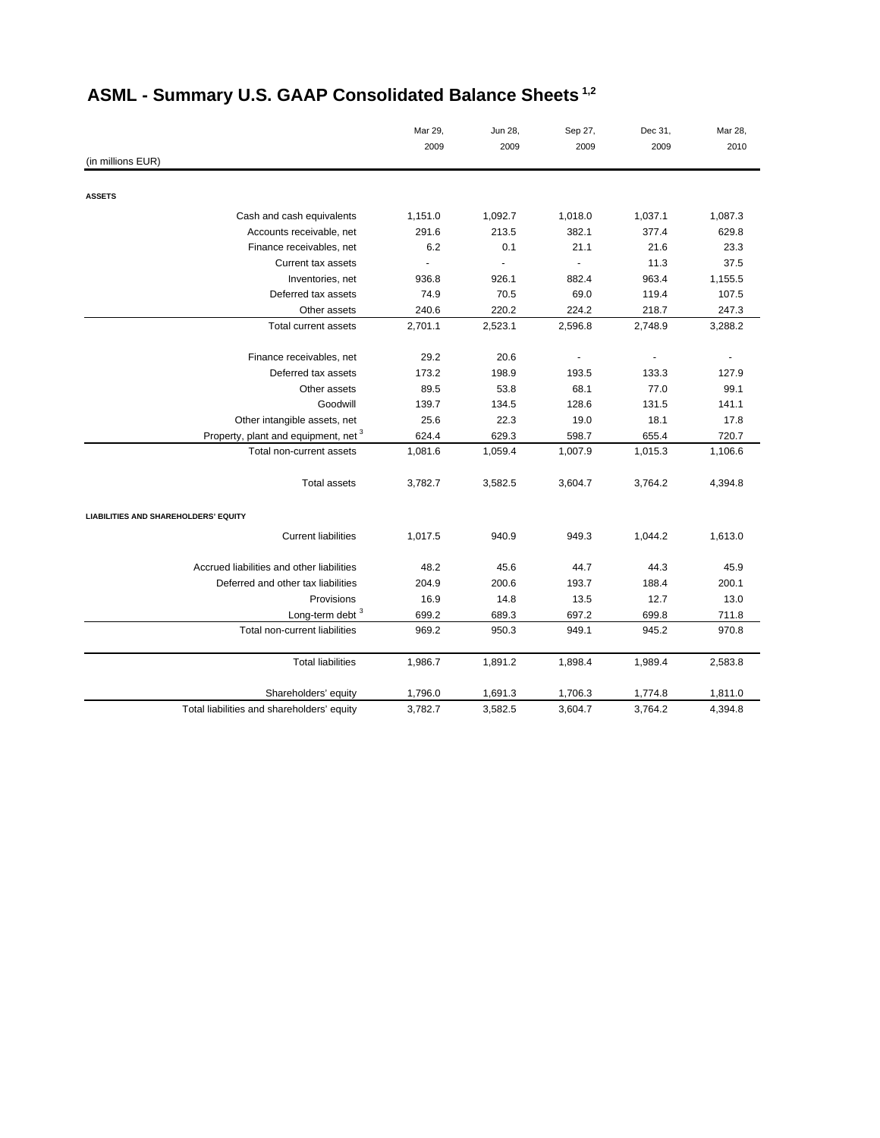|                                            | Mar 29, | Jun 28, | Sep 27,        | Dec 31,                  | Mar 28,                  |
|--------------------------------------------|---------|---------|----------------|--------------------------|--------------------------|
|                                            | 2009    | 2009    | 2009           | 2009                     | 2010                     |
| (in millions EUR)                          |         |         |                |                          |                          |
| <b>ASSETS</b>                              |         |         |                |                          |                          |
| Cash and cash equivalents                  | 1,151.0 | 1,092.7 | 1,018.0        | 1,037.1                  | 1,087.3                  |
| Accounts receivable, net                   | 291.6   | 213.5   | 382.1          | 377.4                    | 629.8                    |
| Finance receivables, net                   | 6.2     | 0.1     | 21.1           | 21.6                     | 23.3                     |
| Current tax assets                         |         |         |                | 11.3                     | 37.5                     |
| Inventories, net                           | 936.8   | 926.1   | 882.4          | 963.4                    | 1,155.5                  |
| Deferred tax assets                        | 74.9    | 70.5    | 69.0           | 119.4                    | 107.5                    |
| Other assets                               | 240.6   | 220.2   | 224.2          | 218.7                    | 247.3                    |
| Total current assets                       | 2,701.1 | 2,523.1 | 2,596.8        | 2,748.9                  | 3,288.2                  |
|                                            |         |         |                |                          |                          |
| Finance receivables, net                   | 29.2    | 20.6    | $\blacksquare$ | $\overline{\phantom{a}}$ | $\overline{\phantom{a}}$ |
| Deferred tax assets                        | 173.2   | 198.9   | 193.5          | 133.3                    | 127.9                    |
| Other assets                               | 89.5    | 53.8    | 68.1           | 77.0                     | 99.1                     |
| Goodwill                                   | 139.7   | 134.5   | 128.6          | 131.5                    | 141.1                    |
| Other intangible assets, net               | 25.6    | 22.3    | 19.0           | 18.1                     | 17.8                     |
| Property, plant and equipment, net 3       | 624.4   | 629.3   | 598.7          | 655.4                    | 720.7                    |
| Total non-current assets                   | 1,081.6 | 1,059.4 | 1,007.9        | 1,015.3                  | 1,106.6                  |
| <b>Total assets</b>                        | 3,782.7 | 3,582.5 | 3,604.7        | 3,764.2                  | 4,394.8                  |
| LIABILITIES AND SHAREHOLDERS' EQUITY       |         |         |                |                          |                          |
| <b>Current liabilities</b>                 | 1,017.5 | 940.9   | 949.3          | 1,044.2                  | 1,613.0                  |
| Accrued liabilities and other liabilities  | 48.2    | 45.6    | 44.7           | 44.3                     | 45.9                     |
| Deferred and other tax liabilities         | 204.9   | 200.6   | 193.7          | 188.4                    | 200.1                    |
| Provisions                                 | 16.9    | 14.8    | 13.5           | 12.7                     | 13.0                     |
| Long-term debt <sup>3</sup>                | 699.2   | 689.3   | 697.2          | 699.8                    | 711.8                    |
| Total non-current liabilities              | 969.2   | 950.3   | 949.1          | 945.2                    | 970.8                    |
| <b>Total liabilities</b>                   | 1,986.7 | 1,891.2 | 1,898.4        | 1,989.4                  | 2,583.8                  |
| Shareholders' equity                       | 1,796.0 | 1,691.3 | 1,706.3        | 1,774.8                  | 1,811.0                  |
| Total liabilities and shareholders' equity | 3,782.7 | 3,582.5 | 3,604.7        | 3,764.2                  | 4,394.8                  |

# **ASML - Summary U.S. GAAP Consolidated Balance Sheets 1,2**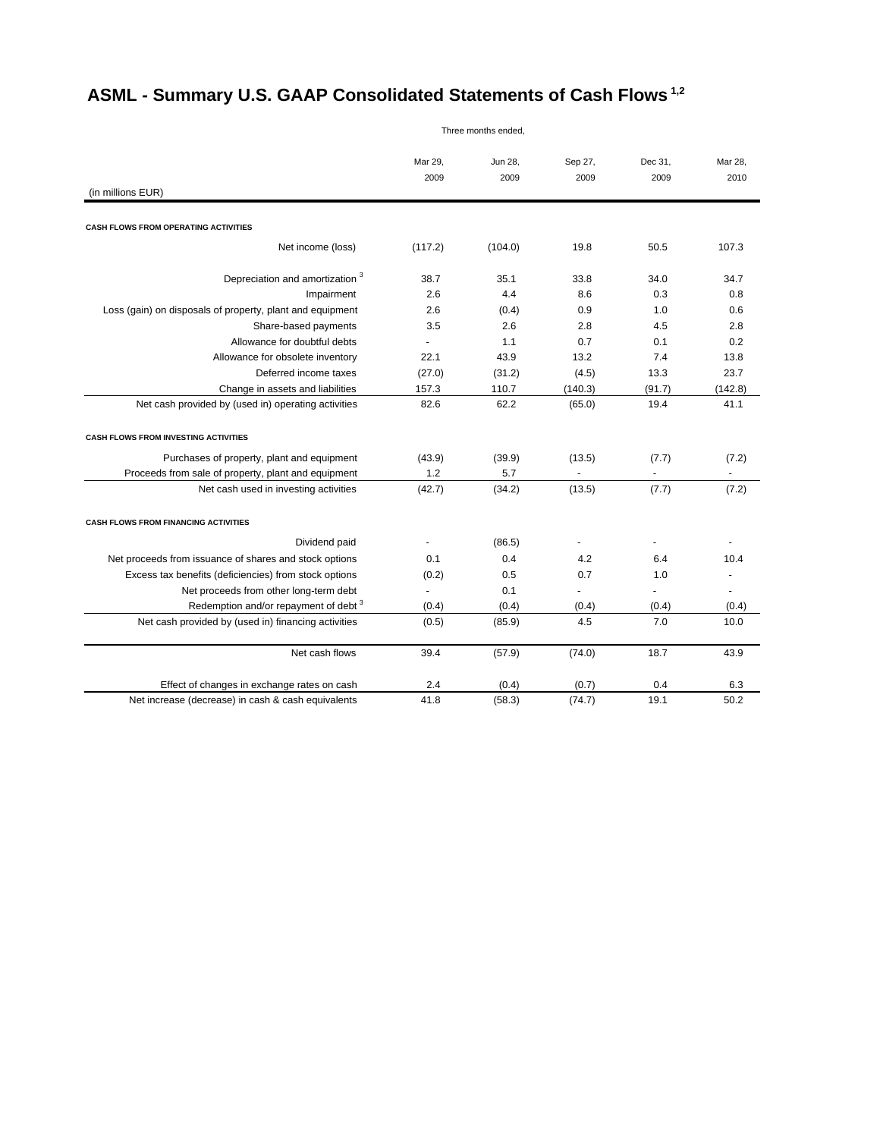# **ASML - Summary U.S. GAAP Consolidated Statements of Cash Flows 1,2**

Three months ended,

|                                                           | Mar 29, | Jun 28, | Sep 27, | Dec 31,        | Mar 28,      |
|-----------------------------------------------------------|---------|---------|---------|----------------|--------------|
|                                                           | 2009    | 2009    | 2009    | 2009           | 2010         |
| (in millions EUR)                                         |         |         |         |                |              |
| CASH FLOWS FROM OPERATING ACTIVITIES                      |         |         |         |                |              |
|                                                           |         |         |         |                |              |
| Net income (loss)                                         | (117.2) | (104.0) | 19.8    | 50.5           | 107.3        |
| Depreciation and amortization <sup>3</sup>                | 38.7    | 35.1    | 33.8    | 34.0           | 34.7         |
| Impairment                                                | 2.6     | 4.4     | 8.6     | 0.3            | 0.8          |
| Loss (gain) on disposals of property, plant and equipment | 2.6     | (0.4)   | 0.9     | 1.0            | 0.6          |
| Share-based payments                                      | 3.5     | 2.6     | 2.8     | 4.5            | 2.8          |
| Allowance for doubtful debts                              |         | 1.1     | 0.7     | 0.1            | 0.2          |
| Allowance for obsolete inventory                          | 22.1    | 43.9    | 13.2    | 7.4            | 13.8         |
| Deferred income taxes                                     | (27.0)  | (31.2)  | (4.5)   | 13.3           | 23.7         |
| Change in assets and liabilities                          | 157.3   | 110.7   | (140.3) | (91.7)         | (142.8)      |
| Net cash provided by (used in) operating activities       | 82.6    | 62.2    | (65.0)  | 19.4           | 41.1         |
| CASH FLOWS FROM INVESTING ACTIVITIES                      |         |         |         |                |              |
| Purchases of property, plant and equipment                | (43.9)  | (39.9)  | (13.5)  | (7.7)          | (7.2)        |
| Proceeds from sale of property, plant and equipment       | 1.2     | 5.7     |         | $\blacksquare$ | $\mathbf{r}$ |
| Net cash used in investing activities                     | (42.7)  | (34.2)  | (13.5)  | (7.7)          | (7.2)        |
| <b>CASH FLOWS FROM FINANCING ACTIVITIES</b>               |         |         |         |                |              |
| Dividend paid                                             |         | (86.5)  |         |                |              |
| Net proceeds from issuance of shares and stock options    | 0.1     | 0.4     | 4.2     | 6.4            | 10.4         |
| Excess tax benefits (deficiencies) from stock options     | (0.2)   | 0.5     | 0.7     | 1.0            |              |
| Net proceeds from other long-term debt                    |         | 0.1     |         |                |              |
| Redemption and/or repayment of debt <sup>3</sup>          | (0.4)   | (0.4)   | (0.4)   | (0.4)          | (0.4)        |
| Net cash provided by (used in) financing activities       | (0.5)   | (85.9)  | 4.5     | 7.0            | 10.0         |
| Net cash flows                                            | 39.4    | (57.9)  | (74.0)  | 18.7           | 43.9         |
| Effect of changes in exchange rates on cash               | 2.4     | (0.4)   | (0.7)   | 0.4            | 6.3          |
| Net increase (decrease) in cash & cash equivalents        | 41.8    | (58.3)  | (74.7)  | 19.1           | 50.2         |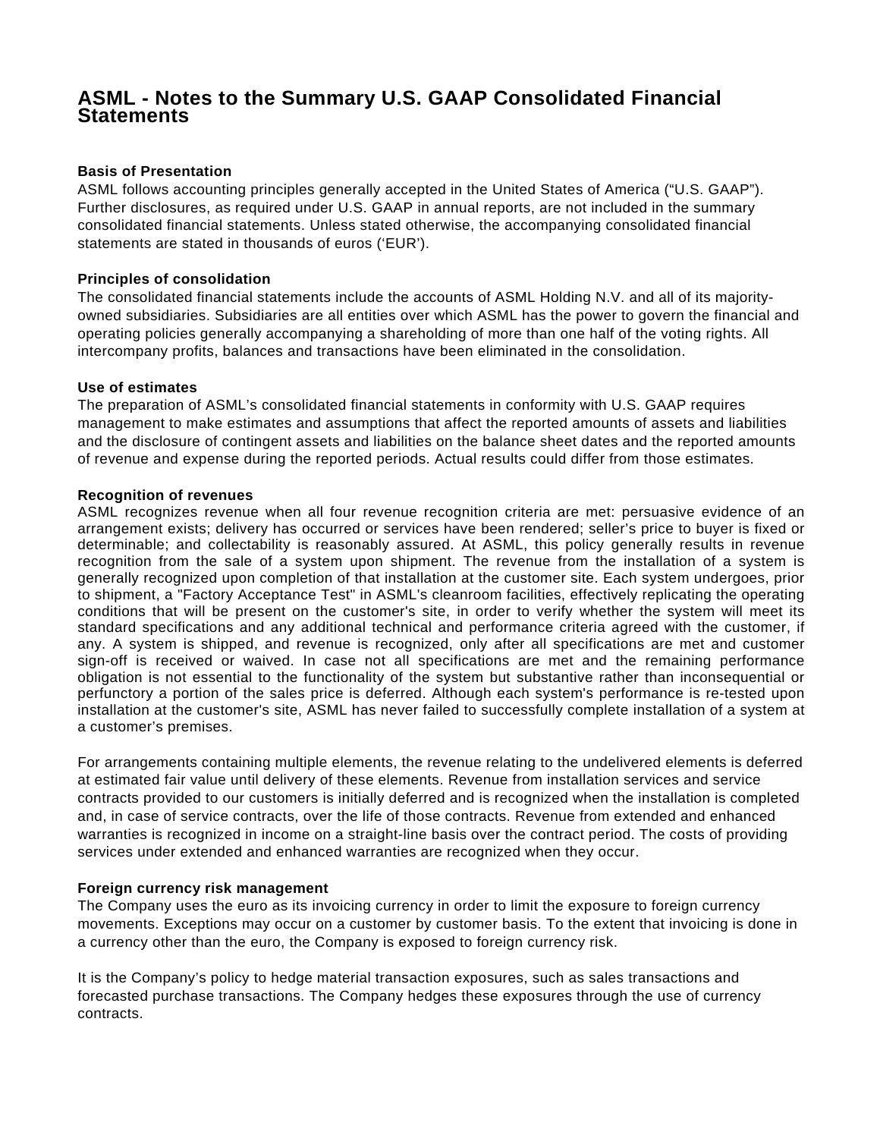### **ASML - Notes to the Summary U.S. GAAP Consolidated Financial Statements**

#### **Basis of Presentation**

ASML follows accounting principles generally accepted in the United States of America ("U.S. GAAP"). Further disclosures, as required under U.S. GAAP in annual reports, are not included in the summary consolidated financial statements. Unless stated otherwise, the accompanying consolidated financial statements are stated in thousands of euros ('EUR').

#### **Principles of consolidation**

The consolidated financial statements include the accounts of ASML Holding N.V. and all of its majorityowned subsidiaries. Subsidiaries are all entities over which ASML has the power to govern the financial and operating policies generally accompanying a shareholding of more than one half of the voting rights. All intercompany profits, balances and transactions have been eliminated in the consolidation.

#### **Use of estimates**

The preparation of ASML's consolidated financial statements in conformity with U.S. GAAP requires management to make estimates and assumptions that affect the reported amounts of assets and liabilities and the disclosure of contingent assets and liabilities on the balance sheet dates and the reported amounts of revenue and expense during the reported periods. Actual results could differ from those estimates.

#### **Recognition of revenues**

ASML recognizes revenue when all four revenue recognition criteria are met: persuasive evidence of an arrangement exists; delivery has occurred or services have been rendered; seller's price to buyer is fixed or determinable; and collectability is reasonably assured. At ASML, this policy generally results in revenue recognition from the sale of a system upon shipment. The revenue from the installation of a system is generally recognized upon completion of that installation at the customer site. Each system undergoes, prior to shipment, a "Factory Acceptance Test" in ASML's cleanroom facilities, effectively replicating the operating conditions that will be present on the customer's site, in order to verify whether the system will meet its standard specifications and any additional technical and performance criteria agreed with the customer, if any. A system is shipped, and revenue is recognized, only after all specifications are met and customer sign-off is received or waived. In case not all specifications are met and the remaining performance obligation is not essential to the functionality of the system but substantive rather than inconsequential or perfunctory a portion of the sales price is deferred. Although each system's performance is re-tested upon installation at the customer's site, ASML has never failed to successfully complete installation of a system at a customer's premises.

For arrangements containing multiple elements, the revenue relating to the undelivered elements is deferred at estimated fair value until delivery of these elements. Revenue from installation services and service contracts provided to our customers is initially deferred and is recognized when the installation is completed and, in case of service contracts, over the life of those contracts. Revenue from extended and enhanced warranties is recognized in income on a straight-line basis over the contract period. The costs of providing services under extended and enhanced warranties are recognized when they occur.

#### **Foreign currency risk management**

The Company uses the euro as its invoicing currency in order to limit the exposure to foreign currency movements. Exceptions may occur on a customer by customer basis. To the extent that invoicing is done in a currency other than the euro, the Company is exposed to foreign currency risk.

It is the Company's policy to hedge material transaction exposures, such as sales transactions and forecasted purchase transactions. The Company hedges these exposures through the use of currency contracts.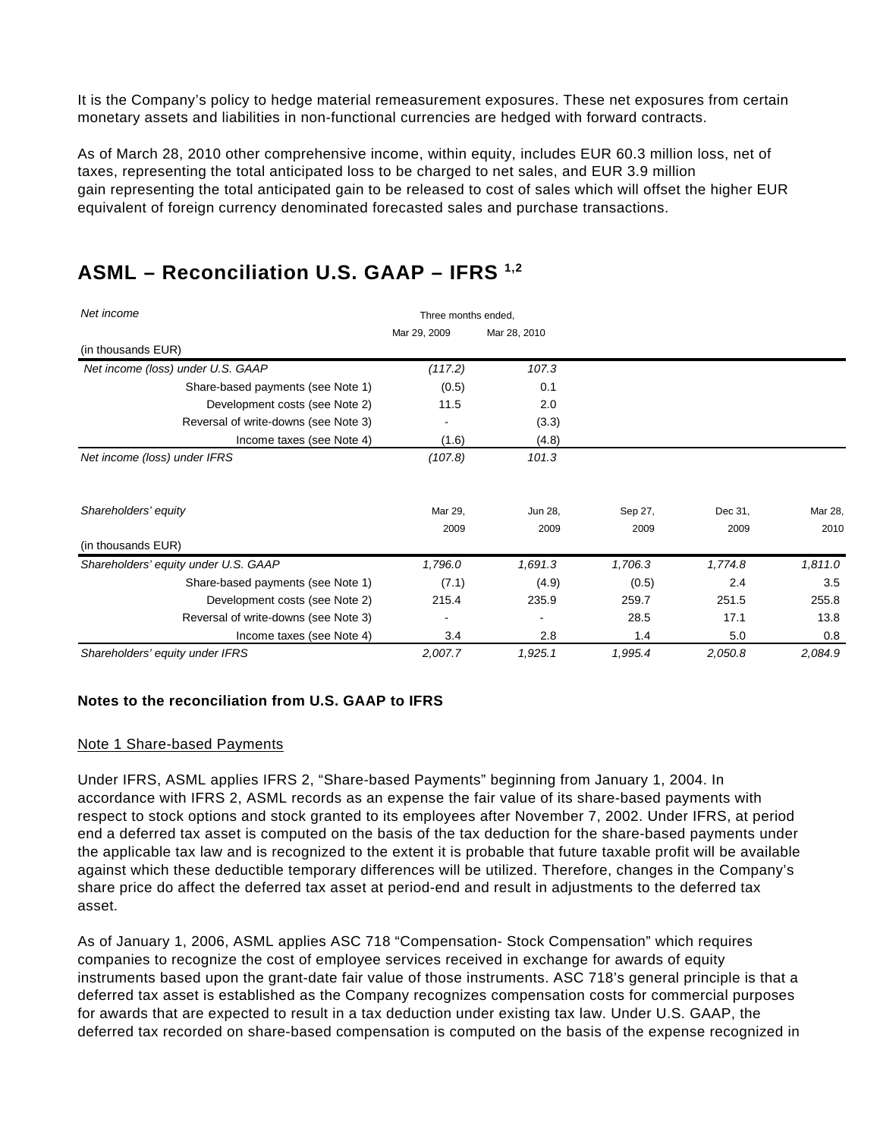It is the Company's policy to hedge material remeasurement exposures. These net exposures from certain monetary assets and liabilities in non-functional currencies are hedged with forward contracts.

As of March 28, 2010 other comprehensive income, within equity, includes EUR 60.3 million loss, net of taxes, representing the total anticipated loss to be charged to net sales, and EUR 3.9 million gain representing the total anticipated gain to be released to cost of sales which will offset the higher EUR equivalent of foreign currency denominated forecasted sales and purchase transactions.

| Net income                           | Three months ended. |              |         |         |         |
|--------------------------------------|---------------------|--------------|---------|---------|---------|
|                                      | Mar 29, 2009        | Mar 28, 2010 |         |         |         |
| (in thousands EUR)                   |                     |              |         |         |         |
| Net income (loss) under U.S. GAAP    | (117.2)             | 107.3        |         |         |         |
| Share-based payments (see Note 1)    | (0.5)               | 0.1          |         |         |         |
| Development costs (see Note 2)       | 11.5                | 2.0          |         |         |         |
| Reversal of write-downs (see Note 3) |                     | (3.3)        |         |         |         |
| Income taxes (see Note 4)            | (1.6)               | (4.8)        |         |         |         |
| Net income (loss) under IFRS         | (107.8)             | 101.3        |         |         |         |
| Shareholders' equity                 | Mar 29.             | Jun 28,      | Sep 27, | Dec 31, | Mar 28, |
|                                      | 2009                | 2009         | 2009    | 2009    | 2010    |
| (in thousands EUR)                   |                     |              |         |         |         |
| Shareholders' equity under U.S. GAAP | 1,796.0             | 1,691.3      | 1,706.3 | 1,774.8 | 1,811.0 |
| Share-based payments (see Note 1)    | (7.1)               | (4.9)        | (0.5)   | 2.4     | 3.5     |
| Development costs (see Note 2)       | 215.4               | 235.9        | 259.7   | 251.5   | 255.8   |
| Reversal of write-downs (see Note 3) |                     |              | 28.5    | 17.1    | 13.8    |
| Income taxes (see Note 4)            | 3.4                 | 2.8          | 1.4     | 5.0     | 0.8     |
| Shareholders' equity under IFRS      | 2,007.7             | 1,925.1      | 1,995.4 | 2,050.8 | 2,084.9 |

### **ASML – Reconciliation U.S. GAAP – IFRS 1,2**

#### **Notes to the reconciliation from U.S. GAAP to IFRS**

#### Note 1 Share-based Payments

Under IFRS, ASML applies IFRS 2, "Share-based Payments" beginning from January 1, 2004. In accordance with IFRS 2, ASML records as an expense the fair value of its share-based payments with respect to stock options and stock granted to its employees after November 7, 2002. Under IFRS, at period end a deferred tax asset is computed on the basis of the tax deduction for the share-based payments under the applicable tax law and is recognized to the extent it is probable that future taxable profit will be available against which these deductible temporary differences will be utilized. Therefore, changes in the Company's share price do affect the deferred tax asset at period-end and result in adjustments to the deferred tax asset.

As of January 1, 2006, ASML applies ASC 718 "Compensation- Stock Compensation" which requires companies to recognize the cost of employee services received in exchange for awards of equity instruments based upon the grant-date fair value of those instruments. ASC 718's general principle is that a deferred tax asset is established as the Company recognizes compensation costs for commercial purposes for awards that are expected to result in a tax deduction under existing tax law. Under U.S. GAAP, the deferred tax recorded on share-based compensation is computed on the basis of the expense recognized in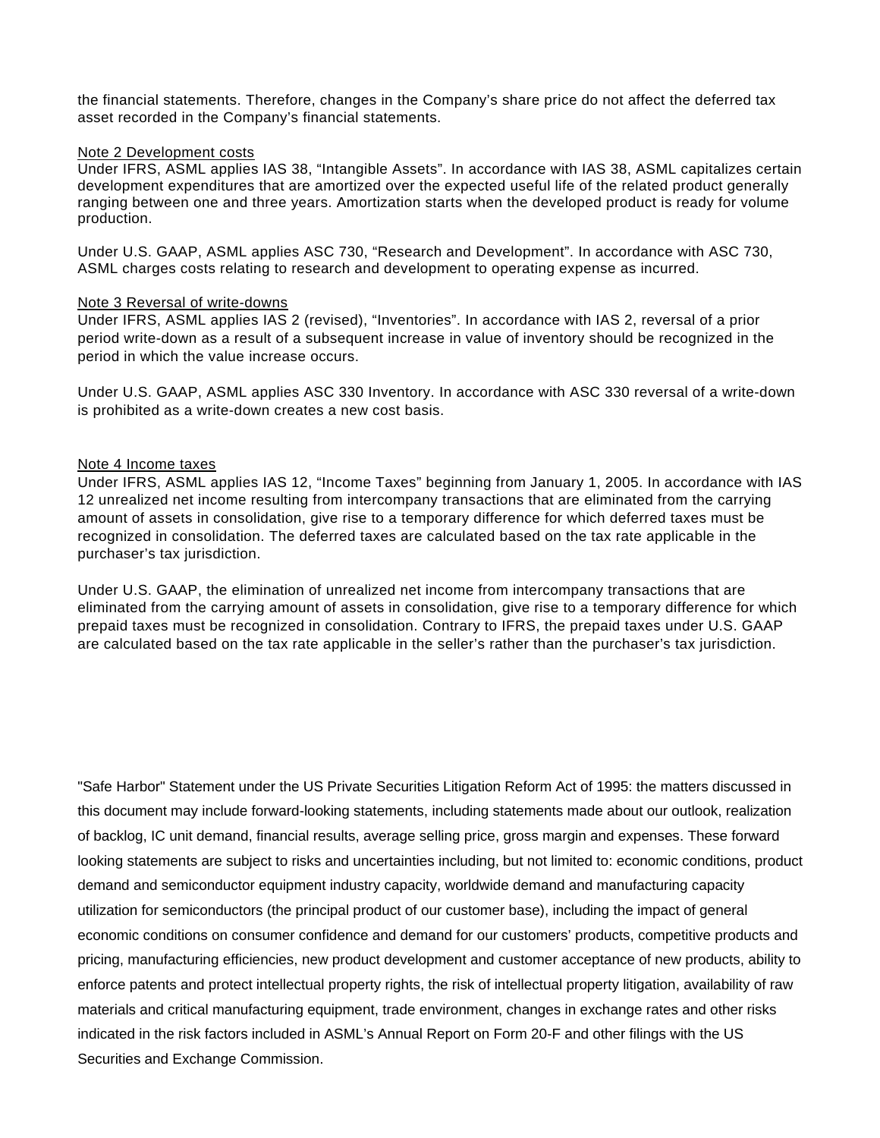the financial statements. Therefore, changes in the Company's share price do not affect the deferred tax asset recorded in the Company's financial statements.

#### Note 2 Development costs

Under IFRS, ASML applies IAS 38, "Intangible Assets". In accordance with IAS 38, ASML capitalizes certain development expenditures that are amortized over the expected useful life of the related product generally ranging between one and three years. Amortization starts when the developed product is ready for volume production.

Under U.S. GAAP, ASML applies ASC 730, "Research and Development". In accordance with ASC 730, ASML charges costs relating to research and development to operating expense as incurred.

#### Note 3 Reversal of write-downs

Under IFRS, ASML applies IAS 2 (revised), "Inventories". In accordance with IAS 2, reversal of a prior period write-down as a result of a subsequent increase in value of inventory should be recognized in the period in which the value increase occurs.

Under U.S. GAAP, ASML applies ASC 330 Inventory. In accordance with ASC 330 reversal of a write-down is prohibited as a write-down creates a new cost basis.

#### Note 4 Income taxes

Under IFRS, ASML applies IAS 12, "Income Taxes" beginning from January 1, 2005. In accordance with IAS 12 unrealized net income resulting from intercompany transactions that are eliminated from the carrying amount of assets in consolidation, give rise to a temporary difference for which deferred taxes must be recognized in consolidation. The deferred taxes are calculated based on the tax rate applicable in the purchaser's tax jurisdiction.

Under U.S. GAAP, the elimination of unrealized net income from intercompany transactions that are eliminated from the carrying amount of assets in consolidation, give rise to a temporary difference for which prepaid taxes must be recognized in consolidation. Contrary to IFRS, the prepaid taxes under U.S. GAAP are calculated based on the tax rate applicable in the seller's rather than the purchaser's tax jurisdiction.

"Safe Harbor" Statement under the US Private Securities Litigation Reform Act of 1995: the matters discussed in this document may include forward-looking statements, including statements made about our outlook, realization of backlog, IC unit demand, financial results, average selling price, gross margin and expenses. These forward looking statements are subject to risks and uncertainties including, but not limited to: economic conditions, product demand and semiconductor equipment industry capacity, worldwide demand and manufacturing capacity utilization for semiconductors (the principal product of our customer base), including the impact of general economic conditions on consumer confidence and demand for our customers' products, competitive products and pricing, manufacturing efficiencies, new product development and customer acceptance of new products, ability to enforce patents and protect intellectual property rights, the risk of intellectual property litigation, availability of raw materials and critical manufacturing equipment, trade environment, changes in exchange rates and other risks indicated in the risk factors included in ASML's Annual Report on Form 20-F and other filings with the US Securities and Exchange Commission.